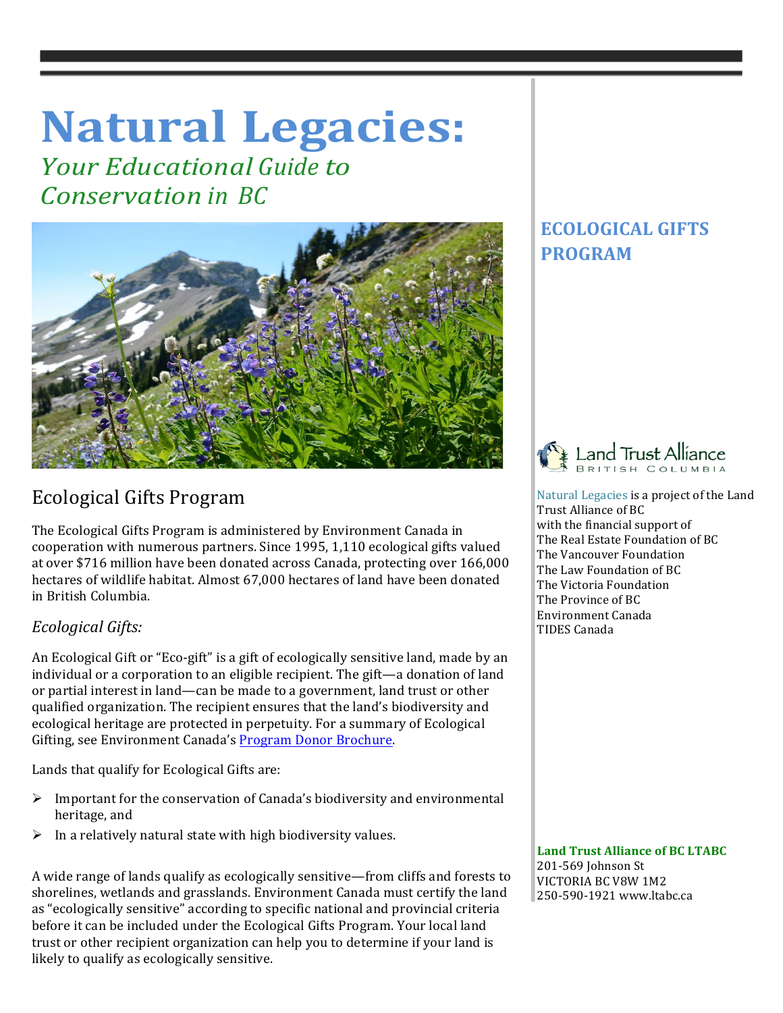# **Natural Legacies:**

*Your Educational Guide to Conservation in BC*



# Ecological Gifts Program

The Ecological Gifts Program is administered by Environment Canada in cooperation with numerous partners. Since 1995, 1,110 ecological gifts valued at over \$716 million have been donated across Canada, protecting over 166,000 hectares of wildlife habitat. Almost 67,000 hectares of land have been donated in British Columbia. 

## *Ecological Gifts:*

An Ecological Gift or "Eco-gift" is a gift of ecologically sensitive land, made by an individual or a corporation to an eligible recipient. The gift—a donation of land or partial interest in land—can be made to a government, land trust or other qualified organization. The recipient ensures that the land's biodiversity and ecological heritage are protected in perpetuity. For a summary of Ecological Gifting, see Environment Canada's Program Donor Brochure.

Lands that qualify for Ecological Gifts are:

- $\triangleright$  Important for the conservation of Canada's biodiversity and environmental heritage, and
- $\triangleright$  In a relatively natural state with high biodiversity values.

A wide range of lands qualify as ecologically sensitive—from cliffs and forests to shorelines, wetlands and grasslands. Environment Canada must certify the land as "ecologically sensitive" according to specific national and provincial criteria before it can be included under the Ecological Gifts Program. Your local land trust or other recipient organization can help you to determine if your land is likely to qualify as ecologically sensitive.

# **ECOLOGICAL GIFTS PROGRAM**



Natural Legacies is a project of the Land Trust Alliance of BC with the financial support of The Real Estate Foundation of BC The Vancouver Foundation The Law Foundation of BC The Victoria Foundation The Province of BC Environment Canada TIDES Canada

**Land Trust Alliance of BC LTABC** 

201-569 Johnson St VICTORIA BC V8W 1M2 250-590-1921 www.ltabc.ca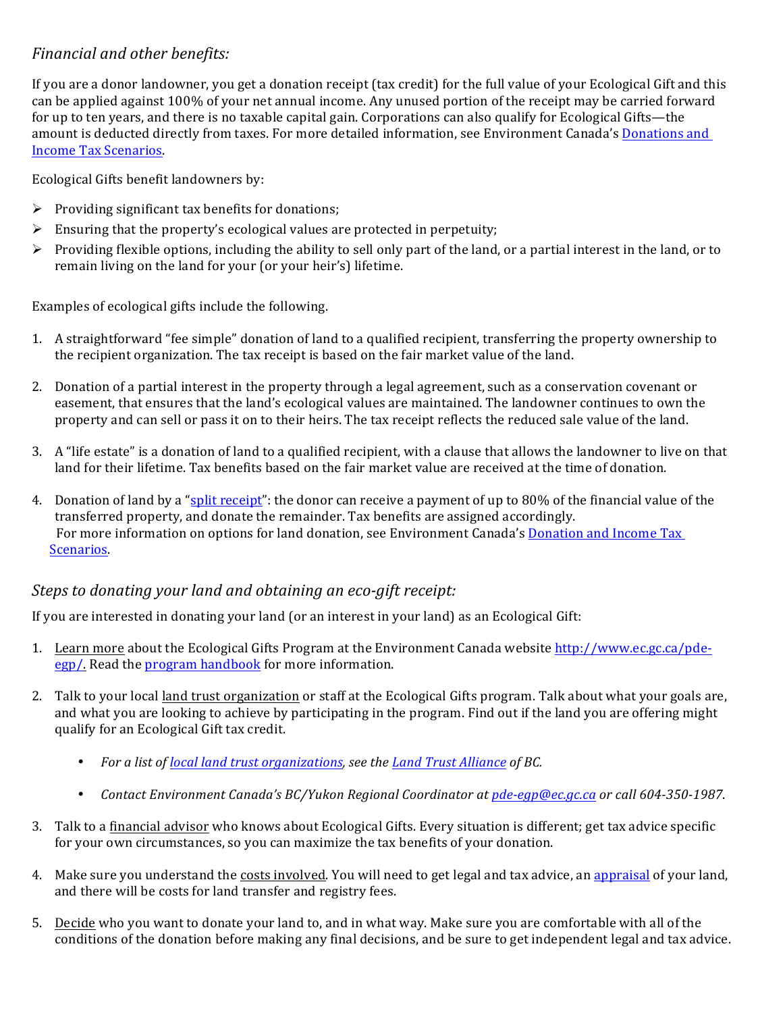## *Financial and other benefits:*

If you are a donor landowner, you get a donation receipt (tax credit) for the full value of your Ecological Gift and this can be applied against 100% of your net annual income. Any unused portion of the receipt may be carried forward for up to ten years, and there is no taxable capital gain. Corporations can also qualify for Ecological Gifts—the amount is deducted directly from taxes. For more detailed information, see Environment Canada's Donations and Income Tax Scenarios.

Ecological Gifts benefit landowners by:

- $\triangleright$  Providing significant tax benefits for donations;
- $\triangleright$  Ensuring that the property's ecological values are protected in perpetuity;
- $\triangleright$  Providing flexible options, including the ability to sell only part of the land, or a partial interest in the land, or to remain living on the land for your (or your heir's) lifetime.

Examples of ecological gifts include the following.

- 1. A straightforward "fee simple" donation of land to a qualified recipient, transferring the property ownership to the recipient organization. The tax receipt is based on the fair market value of the land.
- 2. Donation of a partial interest in the property through a legal agreement, such as a conservation covenant or easement, that ensures that the land's ecological values are maintained. The landowner continues to own the property and can sell or pass it on to their heirs. The tax receipt reflects the reduced sale value of the land.
- 3. A "life estate" is a donation of land to a qualified recipient, with a clause that allows the landowner to live on that land for their lifetime. Tax benefits based on the fair market value are received at the time of donation.
- 4. Donation of land by a "split receipt": the donor can receive a payment of up to 80% of the financial value of the transferred property, and donate the remainder. Tax benefits are assigned accordingly. For more information on options for land donation, see Environment Canada's Donation and Income Tax Scenarios.

#### *Steps to donating your land and obtaining an eco-gift receipt:*

If you are interested in donating your land (or an interest in your land) as an Ecological Gift:

- 1. Learn more about the Ecological Gifts Program at the Environment Canada website http://www.ec.gc.ca/pdeegp/. Read the program handbook for more information.
- 2. Talk to your local land trust organization or staff at the Ecological Gifts program. Talk about what your goals are, and what you are looking to achieve by participating in the program. Find out if the land you are offering might qualify for an Ecological Gift tax credit.
	- *For a list of local land trust organizations, see the Land Trust Alliance of BC.*
	- *Contact Environment Canada's BC/Yukon Regional Coordinator at pde-egp@ec.gc.ca* or call 604-350-1987.
- 3. Talk to a financial advisor who knows about Ecological Gifts. Every situation is different; get tax advice specific for your own circumstances, so you can maximize the tax benefits of your donation.
- 4. Make sure you understand the costs involved. You will need to get legal and tax advice, an appraisal of your land, and there will be costs for land transfer and registry fees.
- 5. Decide who you want to donate your land to, and in what way. Make sure you are comfortable with all of the conditions of the donation before making any final decisions, and be sure to get independent legal and tax advice.